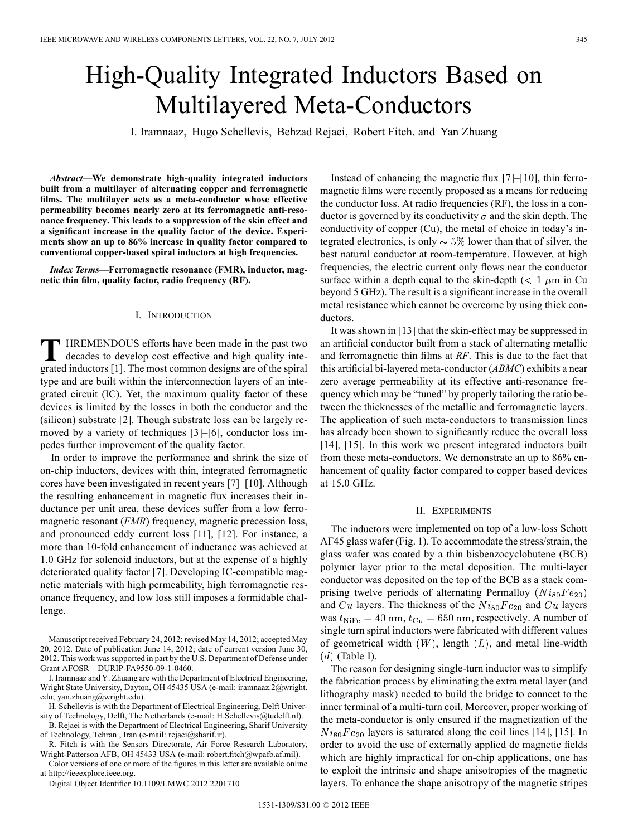# High-Quality Integrated Inductors Based on Multilayered Meta-Conductors

I. Iramnaaz, Hugo Schellevis, Behzad Rejaei, Robert Fitch, and Yan Zhuang

*Abstract—***We demonstrate high-quality integrated inductors built from a multilayer of alternating copper and ferromagnetic films. The multilayer acts as a meta-conductor whose effective permeability becomes nearly zero at its ferromagnetic anti-resonance frequency. This leads to a suppression of the skin effect and a significant increase in the quality factor of the device. Experiments show an up to 86% increase in quality factor compared to conventional copper-based spiral inductors at high frequencies.**

*Index Terms—***Ferromagnetic resonance (FMR), inductor, magnetic thin film, quality factor, radio frequency (RF).**

# I. INTRODUCTION

**T** HREMENDOUS efforts have been made in the past two decades to develop cost effective and high quality integrated inductors [1]. The most common designs are of the spiral type and are built within the interconnection layers of an integrated circuit (IC). Yet, the maximum quality factor of these devices is limited by the losses in both the conductor and the (silicon) substrate [2]. Though substrate loss can be largely removed by a variety of techniques [3]–[6], conductor loss impedes further improvement of the quality factor.

In order to improve the performance and shrink the size of on-chip inductors, devices with thin, integrated ferromagnetic cores have been investigated in recent years [7]–[10]. Although the resulting enhancement in magnetic flux increases their inductance per unit area, these devices suffer from a low ferromagnetic resonant *(FMR)* frequency, magnetic precession loss, and pronounced eddy current loss [11], [12]. For instance, a more than 10-fold enhancement of inductance was achieved at 1.0 GHz for solenoid inductors, but at the expense of a highly deteriorated quality factor [7]. Developing IC-compatible magnetic materials with high permeability, high ferromagnetic resonance frequency, and low loss still imposes a formidable challenge.

Manuscript received February 24, 2012; revised May 14, 2012; accepted May 20, 2012. Date of publication June 14, 2012; date of current version June 30, 2012. This work was supported in part by the U.S. Department of Defense under Grant AFOSR—DURIP-FA9550-09-1-0460.

I. Iramnaaz and Y. Zhuang are with the Department of Electrical Engineering, Wright State University, Dayton, OH 45435 USA (e-mail: iramnaaz.2@wright. edu; yan.zhuang@wright.edu).

H. Schellevis is with the Department of Electrical Engineering, Delft University of Technology, Delft, The Netherlands (e-mail: H.Schellevis@tudelft.nl).

B. Rejaei is with the Department of Electrical Engineering, Sharif University of Technology, Tehran , Iran (e-mail: rejaei@sharif.ir).

R. Fitch is with the Sensors Directorate, Air Force Research Laboratory, Wright-Patterson AFB, OH 45433 USA (e-mail: robert.fitch@wpafb.af.mil).

Color versions of one or more of the figures in this letter are available online at http://ieeexplore.ieee.org.

Digital Object Identifier 10.1109/LMWC.2012.2201710

Instead of enhancing the magnetic flux [7]–[10], thin ferromagnetic films were recently proposed as a means for reducing the conductor loss. At radio frequencies (RF), the loss in a conductor is governed by its conductivity  $\sigma$  and the skin depth. The conductivity of copper (Cu), the metal of choice in today's integrated electronics, is only  $\sim 5\%$  lower than that of silver, the best natural conductor at room-temperature. However, at high frequencies, the electric current only flows near the conductor surface within a depth equal to the skin-depth ( $\lt 1 \mu m$  in Cu beyond 5 GHz). The result is a significant increase in the overall metal resistance which cannot be overcome by using thick conductors.

It was shown in [13] that the skin-effect may be suppressed in an artificial conductor built from a stack of alternating metallic and ferromagnetic thin films at *RF*. This is due to the fact that this artificial bi-layered meta-conductor (*ABMC*) exhibits a near zero average permeability at its effective anti-resonance frequency which may be "tuned" by properly tailoring the ratio between the thicknesses of the metallic and ferromagnetic layers. The application of such meta-conductors to transmission lines has already been shown to significantly reduce the overall loss [14], [15]. In this work we present integrated inductors built from these meta-conductors. We demonstrate an up to 86% enhancement of quality factor compared to copper based devices at 15.0 GHz.

## II. EXPERIMENTS

The inductors were implemented on top of a low-loss Schott AF45 glass wafer (Fig. 1). To accommodate the stress/strain, the glass wafer was coated by a thin bisbenzocyclobutene (BCB) polymer layer prior to the metal deposition. The multi-layer conductor was deposited on the top of the BCB as a stack comprising twelve periods of alternating Permalloy  $(Ni_{80}Fe_{20})$ and  $Cu$  layers. The thickness of the  $Ni<sub>80</sub>Fe<sub>20</sub>$  and  $Cu$  layers was  $t_{\text{NiFe}} = 40 \text{ nm}, t_{\text{Cu}} = 650 \text{ nm}$ , respectively. A number of single turn spiral inductors were fabricated with different values of geometrical width  $(W)$ , length  $(L)$ , and metal line-width  $(d)$  (Table I).

The reason for designing single-turn inductor was to simplify the fabrication process by eliminating the extra metal layer (and lithography mask) needed to build the bridge to connect to the inner terminal of a multi-turn coil. Moreover, proper working of the meta-conductor is only ensured if the magnetization of the  $Ni<sub>80</sub>Fe<sub>20</sub>$  layers is saturated along the coil lines [14], [15]. In order to avoid the use of externally applied dc magnetic fields which are highly impractical for on-chip applications, one has to exploit the intrinsic and shape anisotropies of the magnetic layers. To enhance the shape anisotropy of the magnetic stripes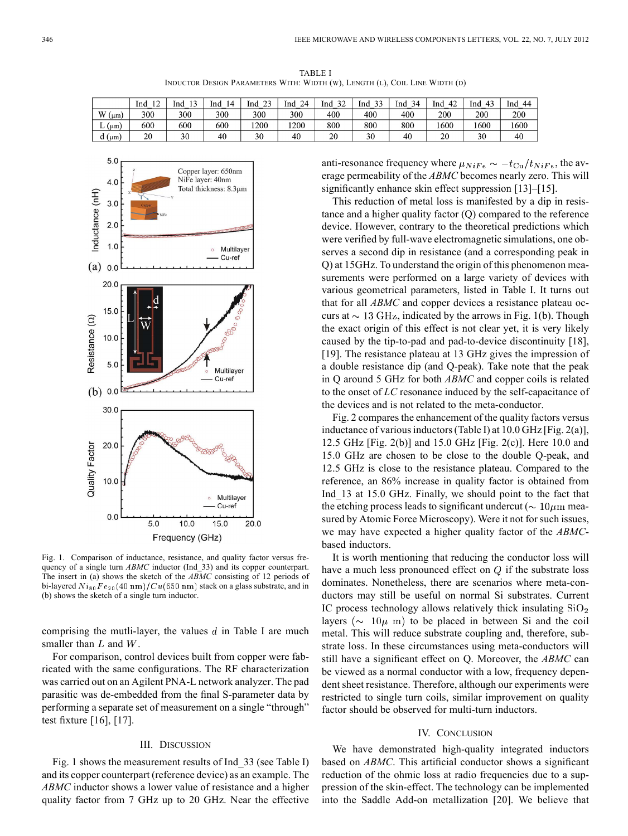TABLE I INDUCTOR DESIGN PARAMETERS WITH: WIDTH (W), LENGTH (L), COIL LINE WIDTH (D)

|                 | $\sim$<br>Ind<br>. . | י י<br>lnd | 14<br>Ind | $\sim$<br>lnd | Ind<br>24 | $\mathcal{L}$<br>Ind | $\mathcal{L}$<br>Ind | 34<br>Ind | 42<br>Ind | Ind<br>$\sqrt{2}$ | 44<br>Ind |
|-----------------|----------------------|------------|-----------|---------------|-----------|----------------------|----------------------|-----------|-----------|-------------------|-----------|
| W(<br>$(\mu m)$ | 300                  | 300        | 300       | 300           | 300       | 400                  | 400                  | 400       | 200       | 200               | 200       |
| $L$ ( $\mu$ m)  | 600                  | 600        | 600       | 1200          | 1200      | 800                  | 800                  | 800       | 1600      | 1600              | 1600      |
| $d$ ( $\mu$ m)  | 20                   | 30         | 40        | 30            | 40        | 20                   | 30                   | 40        | 20        | 30                | 40        |



Fig. 1. Comparison of inductance, resistance, and quality factor versus frequency of a single turn *ABMC* inductor (Ind\_33) and its copper counterpart. The insert in (a) shows the sketch of the *ABMC* consisting of 12 periods of bi-layered  $Ni_{80}Fe_{20}(40~\rm{nm})/Cu(650~\rm{nm})$  stack on a glass substrate, and in (b) shows the sketch of a single turn inductor.

comprising the mutli-layer, the values  $d$  in Table I are much smaller than  $L$  and  $W$ .

For comparison, control devices built from copper were fabricated with the same configurations. The RF characterization was carried out on an Agilent PNA-L network analyzer. The pad parasitic was de-embedded from the final S-parameter data by performing a separate set of measurement on a single "through" test fixture [16], [17].

# III. DISCUSSION

Fig. 1 shows the measurement results of Ind 33 (see Table I) and its copper counterpart (reference device) as an example. The *ABMC* inductor shows a lower value of resistance and a higher quality factor from 7 GHz up to 20 GHz. Near the effective anti-resonance frequency where  $\mu_{NiFe} \sim -t_{Cu}/t_{NiFe}$ , the average permeability of the *ABMC* becomes nearly zero. This will significantly enhance skin effect suppression [13]–[15].

This reduction of metal loss is manifested by a dip in resistance and a higher quality factor (Q) compared to the reference device. However, contrary to the theoretical predictions which were verified by full-wave electromagnetic simulations, one observes a second dip in resistance (and a corresponding peak in Q) at 15GHz. To understand the origin of this phenomenon measurements were performed on a large variety of devices with various geometrical parameters, listed in Table I. It turns out that for all *ABMC* and copper devices a resistance plateau occurs at  $\sim$  13 GHz, indicated by the arrows in Fig. 1(b). Though the exact origin of this effect is not clear yet, it is very likely caused by the tip-to-pad and pad-to-device discontinuity [18], [19]. The resistance plateau at 13 GHz gives the impression of a double resistance dip (and Q-peak). Take note that the peak in Q around 5 GHz for both *ABMC* and copper coils is related to the onset of *LC* resonance induced by the self-capacitance of the devices and is not related to the meta-conductor.

Fig. 2 compares the enhancement of the quality factors versus inductance of various inductors (Table I) at 10.0 GHz [Fig. 2(a)], 12.5 GHz [Fig. 2(b)] and 15.0 GHz [Fig. 2(c)]. Here 10.0 and 15.0 GHz are chosen to be close to the double Q-peak, and 12.5 GHz is close to the resistance plateau. Compared to the reference, an 86% increase in quality factor is obtained from Ind\_13 at 15.0 GHz. Finally, we should point to the fact that the etching process leads to significant undercut ( $\sim 10 \mu$ m measured by Atomic Force Microscopy). Were it not for such issues, we may have expected a higher quality factor of the *ABMC*based inductors.

It is worth mentioning that reducing the conductor loss will have a much less pronounced effect on  $Q$  if the substrate loss dominates. Nonetheless, there are scenarios where meta-conductors may still be useful on normal Si substrates. Current IC process technology allows relatively thick insulating  $SiO<sub>2</sub>$ layers ( $\sim 10\mu$  m) to be placed in between Si and the coil metal. This will reduce substrate coupling and, therefore, substrate loss. In these circumstances using meta-conductors will still have a significant effect on Q. Moreover, the *ABMC* can be viewed as a normal conductor with a low, frequency dependent sheet resistance. Therefore, although our experiments were restricted to single turn coils, similar improvement on quality factor should be observed for multi-turn inductors.

## IV. CONCLUSION

We have demonstrated high-quality integrated inductors based on *ABMC*. This artificial conductor shows a significant reduction of the ohmic loss at radio frequencies due to a suppression of the skin-effect. The technology can be implemented into the Saddle Add-on metallization [20]. We believe that